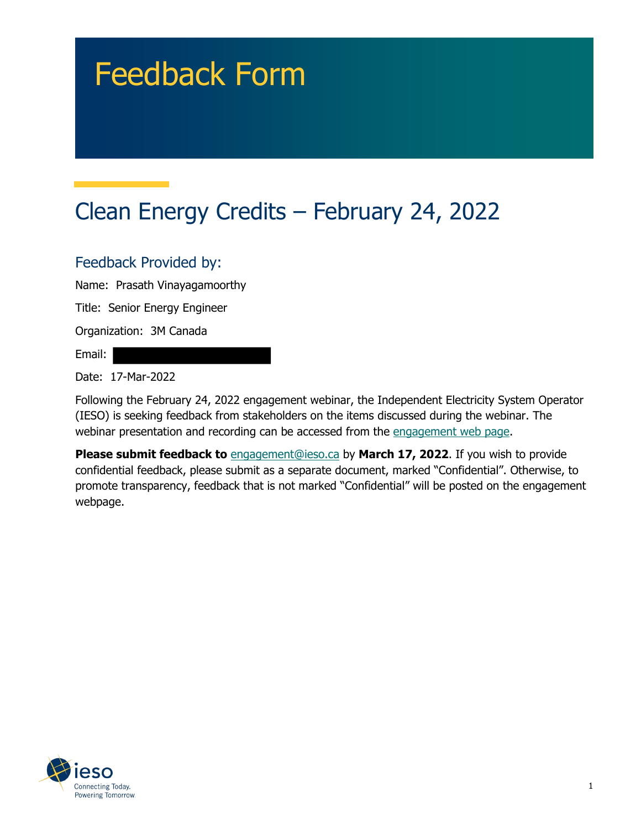# Feedback Form

# Clean Energy Credits – February 24, 2022

#### Feedback Provided by:

Name: Prasath Vinayagamoorthy

Title: Senior Energy Engineer

Organization: 3M Canada

Email:

Date: 17-Mar-2022

Following the February 24, 2022 engagement webinar, the Independent Electricity System Operator (IESO) is seeking feedback from stakeholders on the items discussed during the webinar. The webinar presentation and recording can be accessed from the engagement web page.

**Please submit feedback to** engagement@ieso.ca by March 17, 2022. If you wish to provide confidential feedback, please submit as a separate document, marked "Confidential". Otherwise, to promote transparency, feedback that is not marked "Confidential" will be posted on the engagement webpage.

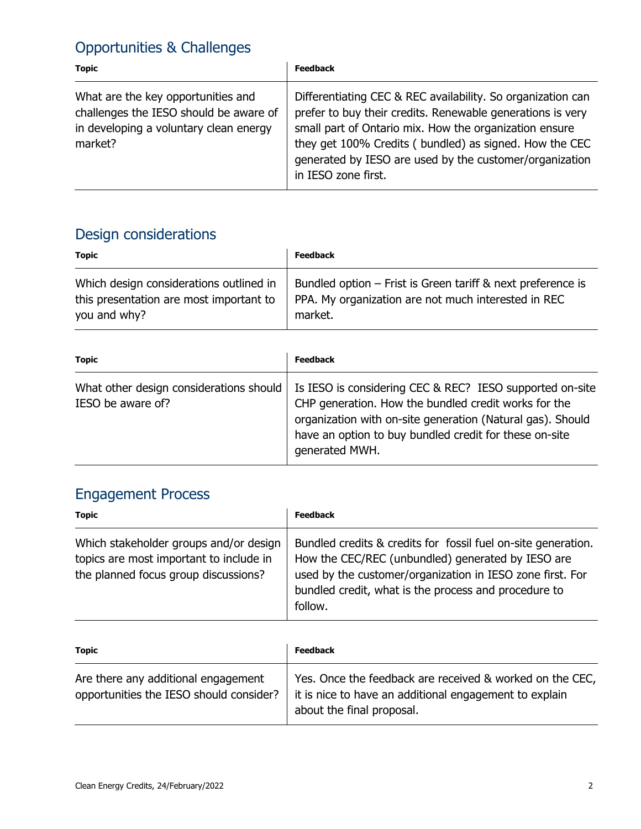#### Opportunities & Challenges

| <b>Topic</b>                                                                                                                      | <b>Feedback</b>                                                                                                                                                                                                                                                                                                                 |
|-----------------------------------------------------------------------------------------------------------------------------------|---------------------------------------------------------------------------------------------------------------------------------------------------------------------------------------------------------------------------------------------------------------------------------------------------------------------------------|
| What are the key opportunities and<br>challenges the IESO should be aware of<br>in developing a voluntary clean energy<br>market? | Differentiating CEC & REC availability. So organization can<br>prefer to buy their credits. Renewable generations is very<br>small part of Ontario mix. How the organization ensure<br>they get 100% Credits (bundled) as signed. How the CEC<br>generated by IESO are used by the customer/organization<br>in IESO zone first. |

### Design considerations

| <b>Topic</b>                            | <b>Feedback</b>                                             |
|-----------------------------------------|-------------------------------------------------------------|
| Which design considerations outlined in | Bundled option - Frist is Green tariff & next preference is |
| this presentation are most important to | PPA. My organization are not much interested in REC         |
| you and why?                            | market.                                                     |

| <b>Topic</b>                                                 | <b>Feedback</b>                                                                                                                                                                                                                                            |
|--------------------------------------------------------------|------------------------------------------------------------------------------------------------------------------------------------------------------------------------------------------------------------------------------------------------------------|
| What other design considerations should<br>IESO be aware of? | Is IESO is considering CEC & REC? IESO supported on-site<br>CHP generation. How the bundled credit works for the<br>organization with on-site generation (Natural gas). Should<br>have an option to buy bundled credit for these on-site<br>generated MWH. |

## Engagement Process

| <b>Topic</b>                                                                                                              | <b>Feedback</b>                                                                                                                                                                                                                                    |
|---------------------------------------------------------------------------------------------------------------------------|----------------------------------------------------------------------------------------------------------------------------------------------------------------------------------------------------------------------------------------------------|
| Which stakeholder groups and/or design<br>topics are most important to include in<br>the planned focus group discussions? | Bundled credits & credits for fossil fuel on-site generation.<br>How the CEC/REC (unbundled) generated by IESO are<br>used by the customer/organization in IESO zone first. For<br>bundled credit, what is the process and procedure to<br>follow. |

| <b>Topic</b>                                                                   | <b>Feedback</b>                                                                                                                                 |
|--------------------------------------------------------------------------------|-------------------------------------------------------------------------------------------------------------------------------------------------|
| Are there any additional engagement<br>opportunities the IESO should consider? | Yes. Once the feedback are received & worked on the CEC,<br>it is nice to have an additional engagement to explain<br>about the final proposal. |